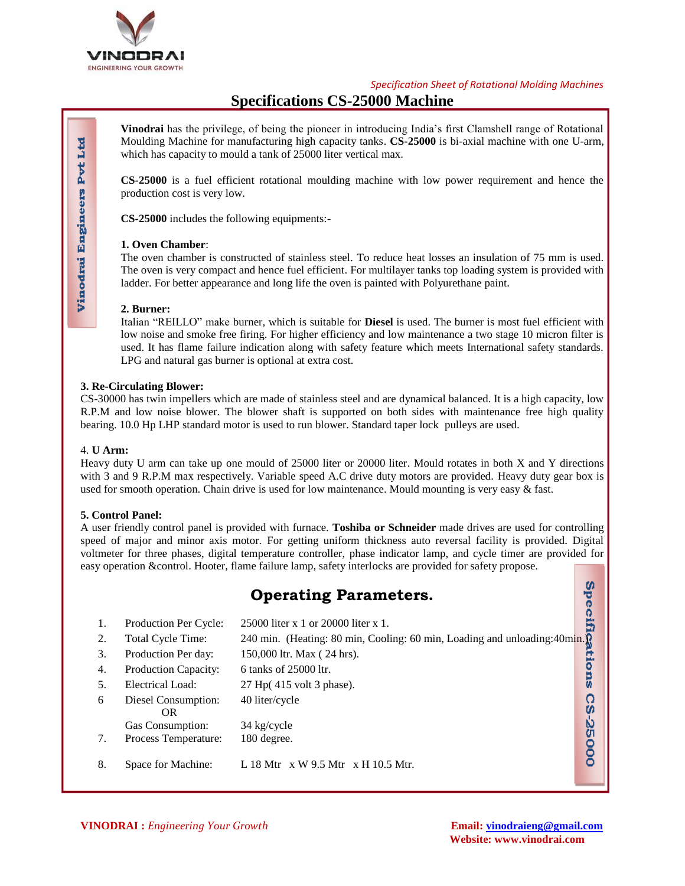

*Specification Sheet of Rotational Molding Machines*

# **Specifications CS-25000 Machine**

**Vinodrai** has the privilege, of being the pioneer in introducing India's first Clamshell range of Rotational Moulding Machine for manufacturing high capacity tanks. **CS-25000** is bi-axial machine with one U-arm, which has capacity to mould a tank of 25000 liter vertical max.

**CS-25000** is a fuel efficient rotational moulding machine with low power requirement and hence the production cost is very low.

**CS-25000** includes the following equipments:-

## **1. Oven Chamber**:

The oven chamber is constructed of stainless steel. To reduce heat losses an insulation of 75 mm is used. The oven is very compact and hence fuel efficient. For multilayer tanks top loading system is provided with ladder. For better appearance and long life the oven is painted with Polyurethane paint.

## **2. Burner:**

Italian "REILLO" make burner, which is suitable for **Diesel** is used. The burner is most fuel efficient with low noise and smoke free firing. For higher efficiency and low maintenance a two stage 10 micron filter is used. It has flame failure indication along with safety feature which meets International safety standards. LPG and natural gas burner is optional at extra cost.

## **3. Re-Circulating Blower:**

CS-30000 has twin impellers which are made of stainless steel and are dynamical balanced. It is a high capacity, low R.P.M and low noise blower. The blower shaft is supported on both sides with maintenance free high quality bearing. 10.0 Hp LHP standard motor is used to run blower. Standard taper lock pulleys are used.

### 4. **U Arm:**

Heavy duty U arm can take up one mould of 25000 liter or 20000 liter. Mould rotates in both X and Y directions with 3 and 9 R.P.M max respectively. Variable speed A.C drive duty motors are provided. Heavy duty gear box is used for smooth operation. Chain drive is used for low maintenance. Mould mounting is very easy & fast.

### **5. Control Panel:**

A user friendly control panel is provided with furnace. **Toshiba or Schneider** made drives are used for controlling speed of major and minor axis motor. For getting uniform thickness auto reversal facility is provided. Digital voltmeter for three phases, digital temperature controller, phase indicator lamp, and cycle timer are provided for easy operation &control. Hooter, flame failure lamp, safety interlocks are provided for safety propose.

|    | <b>Operating Parameters.</b>     |                                                                            |   |  |  |  |
|----|----------------------------------|----------------------------------------------------------------------------|---|--|--|--|
| 1. | <b>Production Per Cycle:</b>     | 25000 liter x 1 or 20000 liter x 1.                                        |   |  |  |  |
| 2. | Total Cycle Time:                | 240 min. (Heating: 80 min, Cooling: 60 min, Loading and unloading: 40 min. |   |  |  |  |
| 3. | Production Per day:              | 150,000 ltr. Max (24 hrs).                                                 |   |  |  |  |
| 4. | Production Capacity:             | 6 tanks of 25000 ltr.                                                      |   |  |  |  |
| 5. | Electrical Load:                 | 27 Hp(415 volt 3 phase).                                                   | w |  |  |  |
| 6  | Diesel Consumption:<br><b>OR</b> | 40 liter/cycle                                                             |   |  |  |  |
|    | Gas Consumption:                 | 34 kg/cycle                                                                | Ŵ |  |  |  |
| 7. | Process Temperature:             | 180 degree.                                                                |   |  |  |  |
| 8. | Space for Machine:               | L 18 Mtr $\,$ x W 9.5 Mtr $\,$ x H 10.5 Mtr.                               |   |  |  |  |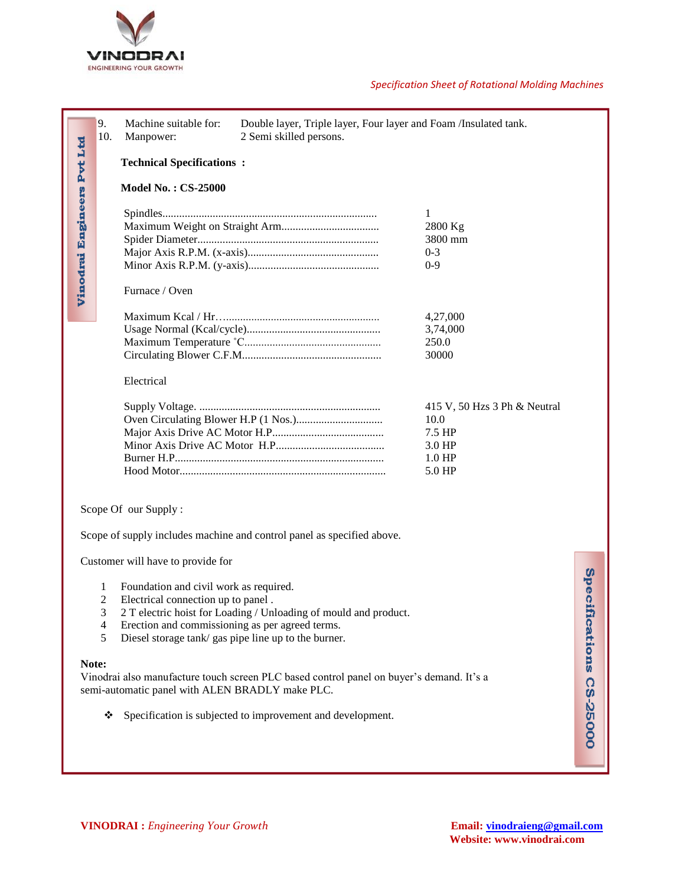

### *Specification Sheet of Rotational Molding Machines*

|                                                                                                                                                                                                                                                                                                                                                                                                                                                                                                                 | 9.<br>10.                        | Machine suitable for:<br>Manpower:     | Double layer, Triple layer, Four layer and Foam /Insulated tank.<br>2 Semi skilled persons. |                                               |                             |  |
|-----------------------------------------------------------------------------------------------------------------------------------------------------------------------------------------------------------------------------------------------------------------------------------------------------------------------------------------------------------------------------------------------------------------------------------------------------------------------------------------------------------------|----------------------------------|----------------------------------------|---------------------------------------------------------------------------------------------|-----------------------------------------------|-----------------------------|--|
|                                                                                                                                                                                                                                                                                                                                                                                                                                                                                                                 | <b>Technical Specifications:</b> |                                        |                                                                                             |                                               |                             |  |
|                                                                                                                                                                                                                                                                                                                                                                                                                                                                                                                 | <b>Model No.: CS-25000</b>       |                                        |                                                                                             |                                               |                             |  |
| Vinodrai Engineers Pvt Ltd                                                                                                                                                                                                                                                                                                                                                                                                                                                                                      |                                  | Furnace / Oven                         |                                                                                             | 1<br>2800 Kg<br>3800 mm<br>$0 - 3$<br>$0 - 9$ |                             |  |
|                                                                                                                                                                                                                                                                                                                                                                                                                                                                                                                 |                                  | 4,27,000<br>3,74,000<br>250.0<br>30000 |                                                                                             |                                               |                             |  |
| Electrical<br>10.0<br>7.5 HP<br>3.0 HP<br>1.0 HP<br>5.0 HP                                                                                                                                                                                                                                                                                                                                                                                                                                                      |                                  |                                        |                                                                                             | 415 V, 50 Hzs 3 Ph & Neutral                  |                             |  |
|                                                                                                                                                                                                                                                                                                                                                                                                                                                                                                                 |                                  | Scope Of our Supply:                   |                                                                                             |                                               |                             |  |
|                                                                                                                                                                                                                                                                                                                                                                                                                                                                                                                 |                                  |                                        | Scope of supply includes machine and control panel as specified above.                      |                                               |                             |  |
|                                                                                                                                                                                                                                                                                                                                                                                                                                                                                                                 |                                  | Customer will have to provide for      |                                                                                             |                                               |                             |  |
| Foundation and civil work as required.<br>1<br>2<br>Electrical connection up to panel.<br>3<br>2 T electric hoist for Loading / Unloading of mould and product.<br>Erection and commissioning as per agreed terms.<br>4<br>5<br>Diesel storage tank/ gas pipe line up to the burner.<br>Note:<br>Vinodrai also manufacture touch screen PLC based control panel on buyer's demand. It's a<br>semi-automatic panel with ALEN BRADLY make PLC.<br>Specification is subjected to improvement and development.<br>❖ |                                  |                                        |                                                                                             |                                               | Specifi<br>cations CS-25000 |  |